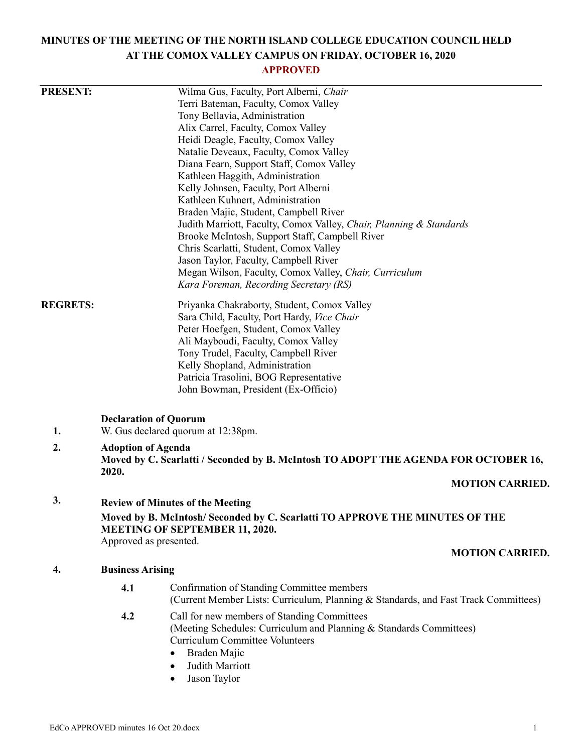# **MINUTES OF THE MEETING OF THE NORTH ISLAND COLLEGE EDUCATION COUNCIL HELD AT THE COMOX VALLEY CAMPUS ON FRIDAY, OCTOBER 16, 2020**

# **APPROVED**

| <b>PRESENT:</b>                                                                                                      |                                                                                                                           | Wilma Gus, Faculty, Port Alberni, Chair                                                                                           |
|----------------------------------------------------------------------------------------------------------------------|---------------------------------------------------------------------------------------------------------------------------|-----------------------------------------------------------------------------------------------------------------------------------|
|                                                                                                                      |                                                                                                                           | Terri Bateman, Faculty, Comox Valley                                                                                              |
|                                                                                                                      |                                                                                                                           | Tony Bellavia, Administration                                                                                                     |
|                                                                                                                      |                                                                                                                           | Alix Carrel, Faculty, Comox Valley                                                                                                |
|                                                                                                                      |                                                                                                                           | Heidi Deagle, Faculty, Comox Valley                                                                                               |
|                                                                                                                      |                                                                                                                           | Natalie Deveaux, Faculty, Comox Valley                                                                                            |
|                                                                                                                      |                                                                                                                           | Diana Fearn, Support Staff, Comox Valley                                                                                          |
|                                                                                                                      |                                                                                                                           | Kathleen Haggith, Administration                                                                                                  |
|                                                                                                                      |                                                                                                                           | Kelly Johnsen, Faculty, Port Alberni                                                                                              |
|                                                                                                                      |                                                                                                                           | Kathleen Kuhnert, Administration                                                                                                  |
|                                                                                                                      |                                                                                                                           | Braden Majic, Student, Campbell River                                                                                             |
|                                                                                                                      |                                                                                                                           | Judith Marriott, Faculty, Comox Valley, Chair, Planning & Standards                                                               |
|                                                                                                                      |                                                                                                                           | Brooke McIntosh, Support Staff, Campbell River                                                                                    |
|                                                                                                                      |                                                                                                                           | Chris Scarlatti, Student, Comox Valley                                                                                            |
|                                                                                                                      |                                                                                                                           | Jason Taylor, Faculty, Campbell River                                                                                             |
|                                                                                                                      |                                                                                                                           | Megan Wilson, Faculty, Comox Valley, Chair, Curriculum                                                                            |
|                                                                                                                      |                                                                                                                           | Kara Foreman, Recording Secretary (RS)                                                                                            |
| <b>REGRETS:</b>                                                                                                      |                                                                                                                           | Priyanka Chakraborty, Student, Comox Valley                                                                                       |
|                                                                                                                      |                                                                                                                           | Sara Child, Faculty, Port Hardy, Vice Chair                                                                                       |
|                                                                                                                      |                                                                                                                           | Peter Hoefgen, Student, Comox Valley                                                                                              |
|                                                                                                                      |                                                                                                                           | Ali Mayboudi, Faculty, Comox Valley                                                                                               |
|                                                                                                                      |                                                                                                                           | Tony Trudel, Faculty, Campbell River                                                                                              |
|                                                                                                                      |                                                                                                                           | Kelly Shopland, Administration                                                                                                    |
|                                                                                                                      |                                                                                                                           | Patricia Trasolini, BOG Representative                                                                                            |
|                                                                                                                      |                                                                                                                           | John Bowman, President (Ex-Officio)                                                                                               |
|                                                                                                                      | <b>Declaration of Quorum</b>                                                                                              |                                                                                                                                   |
| 1.                                                                                                                   | W. Gus declared quorum at 12:38pm.                                                                                        |                                                                                                                                   |
| 2.                                                                                                                   | <b>Adoption of Agenda</b><br>Moved by C. Scarlatti / Seconded by B. McIntosh TO ADOPT THE AGENDA FOR OCTOBER 16,<br>2020. |                                                                                                                                   |
|                                                                                                                      |                                                                                                                           |                                                                                                                                   |
|                                                                                                                      | 3.                                                                                                                        |                                                                                                                                   |
| <b>Review of Minutes of the Meeting</b>                                                                              |                                                                                                                           |                                                                                                                                   |
| Moved by B. McIntosh/Seconded by C. Scarlatti TO APPROVE THE MINUTES OF THE<br><b>MEETING OF SEPTEMBER 11, 2020.</b> |                                                                                                                           |                                                                                                                                   |
| Approved as presented.                                                                                               |                                                                                                                           |                                                                                                                                   |
|                                                                                                                      |                                                                                                                           | <b>MOTION CARRIED.</b>                                                                                                            |
| 4.                                                                                                                   | <b>Business Arising</b>                                                                                                   |                                                                                                                                   |
|                                                                                                                      |                                                                                                                           |                                                                                                                                   |
|                                                                                                                      | 4.1                                                                                                                       | Confirmation of Standing Committee members<br>(Current Member Lists: Curriculum, Planning & Standards, and Fast Track Committees) |
|                                                                                                                      | 4.2                                                                                                                       | Call for new members of Standing Committees                                                                                       |
|                                                                                                                      |                                                                                                                           | (Meeting Schedules: Curriculum and Planning & Standards Committees)                                                               |
|                                                                                                                      |                                                                                                                           | <b>Curriculum Committee Volunteers</b>                                                                                            |
|                                                                                                                      |                                                                                                                           | Braden Majic                                                                                                                      |
|                                                                                                                      |                                                                                                                           | Judith Marriott<br>$\bullet$                                                                                                      |
|                                                                                                                      |                                                                                                                           | Jason Taylor<br>٠                                                                                                                 |
|                                                                                                                      |                                                                                                                           |                                                                                                                                   |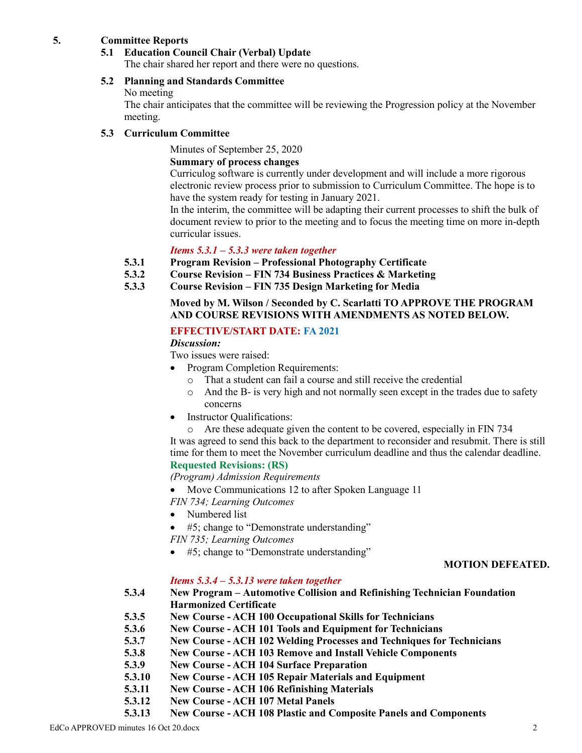#### **5. Committee Reports**

## **5.1 Education Council Chair (Verbal) Update**

The chair shared her report and there were no questions.

#### **5.2 Planning and Standards Committee**

#### No meeting

The chair anticipates that the committee will be reviewing the Progression policy at the November meeting.

#### **5.3 Curriculum Committee**

Minutes of September 25, 2020

#### **Summary of process changes**

Curriculog software is currently under development and will include a more rigorous electronic review process prior to submission to Curriculum Committee. The hope is to have the system ready for testing in January 2021.

In the interim, the committee will be adapting their current processes to shift the bulk of document review to prior to the meeting and to focus the meeting time on more in-depth curricular issues.

#### *Items 5.3.1 – 5.3.3 were taken together*

- **5.3.1 Program Revision – Professional Photography Certificate**
- **5.3.2 Course Revision – FIN 734 Business Practices & Marketing**
- **5.3.3 Course Revision – FIN 735 Design Marketing for Media**

#### **Moved by M. Wilson / Seconded by C. Scarlatti TO APPROVE THE PROGRAM AND COURSE REVISIONS WITH AMENDMENTS AS NOTED BELOW.**

#### **EFFECTIVE/START DATE: FA 2021**

*Discussion:*

Two issues were raised:

- Program Completion Requirements:
	- o That a student can fail a course and still receive the credential
	- o And the B- is very high and not normally seen except in the trades due to safety concerns
- Instructor Qualifications:

o Are these adequate given the content to be covered, especially in FIN 734 It was agreed to send this back to the department to reconsider and resubmit. There is still time for them to meet the November curriculum deadline and thus the calendar deadline. **Requested Revisions: (RS)**

*(Program) Admission Requirements*

- Move Communications 12 to after Spoken Language 11
- *FIN 734; Learning Outcomes*
- Numbered list
- #5; change to "Demonstrate understanding"

*FIN 735; Learning Outcomes*

• #5; change to "Demonstrate understanding"

#### **MOTION DEFEATED.**

# *Items 5.3.4 – 5.3.13 were taken together*

**5.3.4 New Program – Automotive Collision and Refinishing Technician Foundation Harmonized Certificate**

- **5.3.5 New Course - ACH 100 Occupational Skills for Technicians**
- **5.3.6 New Course - ACH 101 Tools and Equipment for Technicians**
- **5.3.7 New Course - ACH 102 Welding Processes and Techniques for Technicians**
- **5.3.8 New Course - ACH 103 Remove and Install Vehicle Components**
- **5.3.9 New Course - ACH 104 Surface Preparation**
- **5.3.10 New Course - ACH 105 Repair Materials and Equipment**
- **5.3.11 New Course - ACH 106 Refinishing Materials**
- **5.3.12 New Course - ACH 107 Metal Panels**
- **5.3.13 New Course - ACH 108 Plastic and Composite Panels and Components**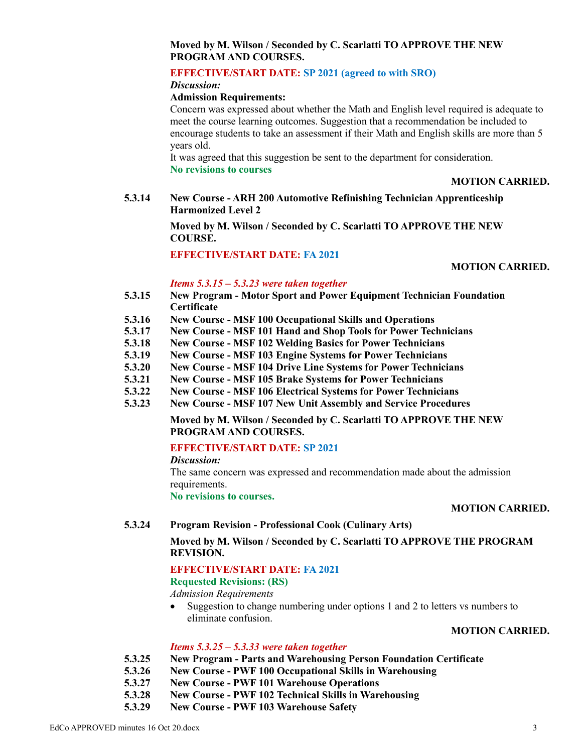# **Moved by M. Wilson / Seconded by C. Scarlatti TO APPROVE THE NEW PROGRAM AND COURSES.**

## **EFFECTIVE/START DATE: SP 2021 (agreed to with SRO)**

*Discussion:*

### **Admission Requirements:**

Concern was expressed about whether the Math and English level required is adequate to meet the course learning outcomes. Suggestion that a recommendation be included to encourage students to take an assessment if their Math and English skills are more than 5 years old.

It was agreed that this suggestion be sent to the department for consideration. **No revisions to courses**

### **MOTION CARRIED.**

**5.3.14 New Course - ARH 200 Automotive Refinishing Technician Apprenticeship Harmonized Level 2**

> **Moved by M. Wilson / Seconded by C. Scarlatti TO APPROVE THE NEW COURSE.**

**EFFECTIVE/START DATE: FA 2021**

### **MOTION CARRIED.**

## *Items 5.3.15 – 5.3.23 were taken together*

- **5.3.15 New Program - Motor Sport and Power Equipment Technician Foundation Certificate**
- **5.3.16 New Course - MSF 100 Occupational Skills and Operations**
- **5.3.17 New Course - MSF 101 Hand and Shop Tools for Power Technicians**
- **5.3.18 New Course - MSF 102 Welding Basics for Power Technicians**
- **5.3.19 New Course - MSF 103 Engine Systems for Power Technicians**
- **5.3.20 New Course - MSF 104 Drive Line Systems for Power Technicians**
- **5.3.21 New Course - MSF 105 Brake Systems for Power Technicians**
- **5.3.22 New Course - MSF 106 Electrical Systems for Power Technicians**
- **5.3.23 New Course - MSF 107 New Unit Assembly and Service Procedures**

**Moved by M. Wilson / Seconded by C. Scarlatti TO APPROVE THE NEW PROGRAM AND COURSES.**

### **EFFECTIVE/START DATE: SP 2021**

*Discussion:*

The same concern was expressed and recommendation made about the admission requirements.

## **No revisions to courses.**

### **MOTION CARRIED.**

### **5.3.24 Program Revision - Professional Cook (Culinary Arts)**

**Moved by M. Wilson / Seconded by C. Scarlatti TO APPROVE THE PROGRAM REVISION.**

### **EFFECTIVE/START DATE: FA 2021**

# **Requested Revisions: (RS)**

*Admission Requirements*

• Suggestion to change numbering under options 1 and 2 to letters vs numbers to eliminate confusion.

# **MOTION CARRIED.**

### *Items 5.3.25 – 5.3.33 were taken together*

- **5.3.25 New Program - Parts and Warehousing Person Foundation Certificate**
- **5.3.26 New Course - PWF 100 Occupational Skills in Warehousing**
- **5.3.27 New Course - PWF 101 Warehouse Operations**
- **5.3.28 New Course - PWF 102 Technical Skills in Warehousing**
- **5.3.29 New Course - PWF 103 Warehouse Safety**